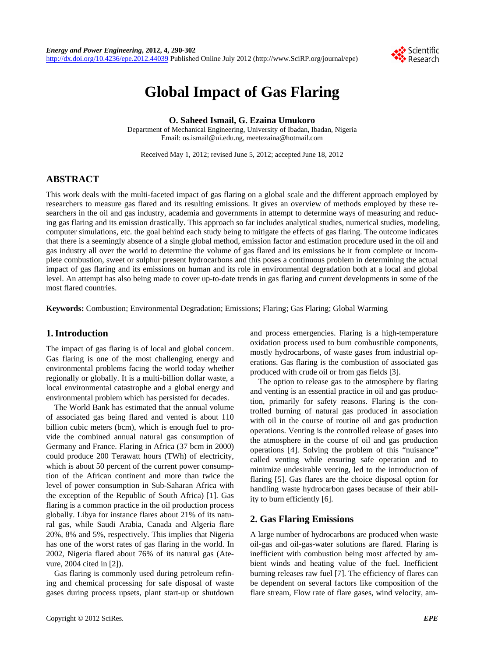

# **Global Impact of Gas Flaring**

**O. Saheed Ismail, G. Ezaina Umukoro** 

Department of Mechanical Engineering, University of Ibadan, Ibadan, Nigeria Email: os.ismail@ui.edu.ng, meetezaina@hotmail.com

Received May 1, 2012; revised June 5, 2012; accepted June 18, 2012

# **ABSTRACT**

This work deals with the multi-faceted impact of gas flaring on a global scale and the different approach employed by researchers to measure gas flared and its resulting emissions. It gives an overview of methods employed by these researchers in the oil and gas industry, academia and governments in attempt to determine ways of measuring and reducing gas flaring and its emission drastically. This approach so far includes analytical studies, numerical studies, modeling, computer simulations, etc. the goal behind each study being to mitigate the effects of gas flaring. The outcome indicates that there is a seemingly absence of a single global method, emission factor and estimation procedure used in the oil and gas industry all over the world to determine the volume of gas flared and its emissions be it from complete or incomplete combustion, sweet or sulphur present hydrocarbons and this poses a continuous problem in determining the actual impact of gas flaring and its emissions on human and its role in environmental degradation both at a local and global level. An attempt has also being made to cover up-to-date trends in gas flaring and current developments in some of the most flared countries.

**Keywords:** Combustion; Environmental Degradation; Emissions; Flaring; Gas Flaring; Global Warming

# **1. Introduction**

The impact of gas flaring is of local and global concern. Gas flaring is one of the most challenging energy and environmental problems facing the world today whether regionally or globally. It is a multi-billion dollar waste, a local environmental catastrophe and a global energy and environmental problem which has persisted for decades.

The World Bank has estimated that the annual volume of associated gas being flared and vented is about 110 billion cubic meters (bcm), which is enough fuel to provide the combined annual natural gas consumption of Germany and France. Flaring in Africa (37 bcm in 2000) could produce 200 Terawatt hours (TWh) of electricity, which is about 50 percent of the current power consumption of the African continent and more than twice the level of power consumption in Sub-Saharan Africa with the exception of the Republic of South Africa) [1]. Gas flaring is a common practice in the oil production process globally. Libya for instance flares about 21% of its natural gas, while Saudi Arabia, Canada and Algeria flare 20%, 8% and 5%, respectively. This implies that Nigeria has one of the worst rates of gas flaring in the world. In 2002, Nigeria flared about 76% of its natural gas (Atevure, 2004 cited in [2]).

Gas flaring is commonly used during petroleum refining and chemical processing for safe disposal of waste gases during process upsets, plant start-up or shutdown and process emergencies. Flaring is a high-temperature oxidation process used to burn combustible components, mostly hydrocarbons, of waste gases from industrial operations. Gas flaring is the combustion of associated gas produced with crude oil or from gas fields [3].

The option to release gas to the atmosphere by flaring and venting is an essential practice in oil and gas production, primarily for safety reasons. Flaring is the controlled burning of natural gas produced in association with oil in the course of routine oil and gas production operations. Venting is the controlled release of gases into the atmosphere in the course of oil and gas production operations [4]. Solving the problem of this "nuisance" called venting while ensuring safe operation and to minimize undesirable venting, led to the introduction of flaring [5]. Gas flares are the choice disposal option for handling waste hydrocarbon gases because of their ability to burn efficiently [6].

## **2. Gas Flaring Emissions**

A large number of hydrocarbons are produced when waste oil-gas and oil-gas-water solutions are flared. Flaring is inefficient with combustion being most affected by ambient winds and heating value of the fuel. Inefficient burning releases raw fuel [7]. The efficiency of flares can be dependent on several factors like composition of the flare stream, Flow rate of flare gases, wind velocity, am-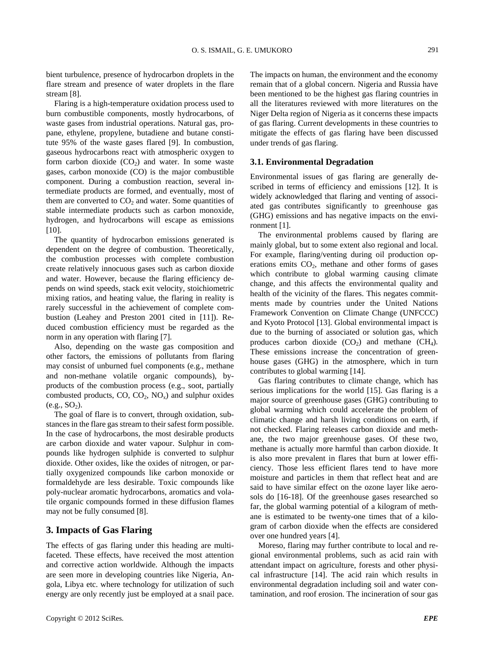bient turbulence, presence of hydrocarbon droplets in the flare stream and presence of water droplets in the flare stream [8].

Flaring is a high-temperature oxidation process used to burn combustible components, mostly hydrocarbons, of waste gases from industrial operations. Natural gas, propane, ethylene, propylene, butadiene and butane constitute 95% of the waste gases flared [9]. In combustion, gaseous hydrocarbons react with atmospheric oxygen to form carbon dioxide  $(CO<sub>2</sub>)$  and water. In some waste gases, carbon monoxide (CO) is the major combustible component. During a combustion reaction, several intermediate products are formed, and eventually, most of them are converted to  $CO<sub>2</sub>$  and water. Some quantities of stable intermediate products such as carbon monoxide, hydrogen, and hydrocarbons will escape as emissions [10].

The quantity of hydrocarbon emissions generated is dependent on the degree of combustion. Theoretically, the combustion processes with complete combustion create relatively innocuous gases such as carbon dioxide and water. However, because the flaring efficiency depends on wind speeds, stack exit velocity, stoichiometric mixing ratios, and heating value, the flaring in reality is rarely successful in the achievement of complete combustion (Leahey and Preston 2001 cited in [11]). Reduced combustion efficiency must be regarded as the norm in any operation with flaring [7].

Also, depending on the waste gas composition and other factors, the emissions of pollutants from flaring may consist of unburned fuel components (e.g., methane and non-methane volatile organic compounds), byproducts of the combustion process (e.g., soot, partially combusted products,  $CO$ ,  $CO<sub>2</sub>$ ,  $NO<sub>x</sub>$ ) and sulphur oxides  $(e.g., SO<sub>2</sub>).$ 

The goal of flare is to convert, through oxidation, substances in the flare gas stream to their safest form possible. In the case of hydrocarbons, the most desirable products are carbon dioxide and water vapour. Sulphur in compounds like hydrogen sulphide is converted to sulphur dioxide. Other oxides, like the oxides of nitrogen, or partially oxygenized compounds like carbon monoxide or formaldehyde are less desirable. Toxic compounds like poly-nuclear aromatic hydrocarbons, aromatics and volatile organic compounds formed in these diffusion flames may not be fully consumed [8].

## **3. Impacts of Gas Flaring**

The effects of gas flaring under this heading are multifaceted. These effects, have received the most attention and corrective action worldwide. Although the impacts are seen more in developing countries like Nigeria, Angola, Libya etc. where technology for utilization of such energy are only recently just be employed at a snail pace.

The impacts on human, the environment and the economy remain that of a global concern. Nigeria and Russia have been mentioned to be the highest gas flaring countries in all the literatures reviewed with more literatures on the Niger Delta region of Nigeria as it concerns these impacts of gas flaring. Current developments in these countries to mitigate the effects of gas flaring have been discussed under trends of gas flaring.

## **3.1. Environmental Degradation**

Environmental issues of gas flaring are generally described in terms of efficiency and emissions [12]. It is widely acknowledged that flaring and venting of associated gas contributes significantly to greenhouse gas (GHG) emissions and has negative impacts on the environment [1].

The environmental problems caused by flaring are mainly global, but to some extent also regional and local. For example, flaring/venting during oil production operations emits  $CO<sub>2</sub>$ , methane and other forms of gases which contribute to global warming causing climate change, and this affects the environmental quality and health of the vicinity of the flares. This negates commitments made by countries under the United Nations Framework Convention on Climate Change (UNFCCC) and Kyoto Protocol [13]. Global environmental impact is due to the burning of associated or solution gas, which produces carbon dioxide  $(CO_2)$  and methane  $(CH_4)$ . These emissions increase the concentration of greenhouse gases (GHG) in the atmosphere, which in turn contributes to global warming [14].

Gas flaring contributes to climate change, which has serious implications for the world [15]. Gas flaring is a major source of greenhouse gases (GHG) contributing to global warming which could accelerate the problem of climatic change and harsh living conditions on earth, if not checked. Flaring releases carbon dioxide and methane, the two major greenhouse gases. Of these two, methane is actually more harmful than carbon dioxide. It is also more prevalent in flares that burn at lower efficiency. Those less efficient flares tend to have more moisture and particles in them that reflect heat and are said to have similar effect on the ozone layer like aerosols do [16-18]. Of the greenhouse gases researched so far, the global warming potential of a kilogram of methane is estimated to be twenty-one times that of a kilogram of carbon dioxide when the effects are considered over one hundred years [4].

Moreso, flaring may further contribute to local and regional environmental problems, such as acid rain with attendant impact on agriculture, forests and other physical infrastructure [14]. The acid rain which results in environmental degradation including soil and water contamination, and roof erosion. The incineration of sour gas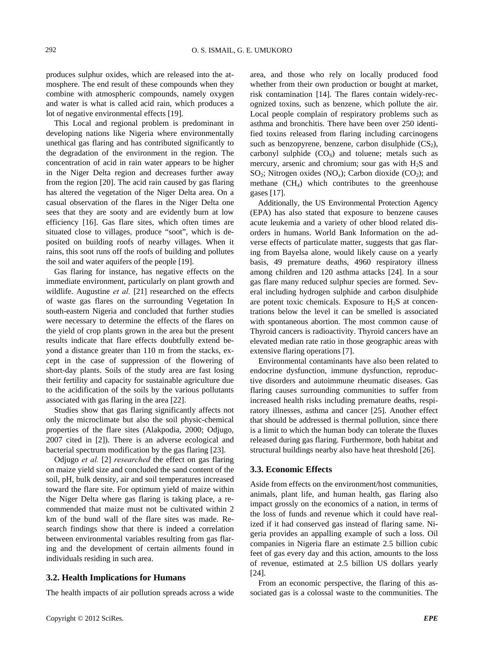produces sulphur oxides, which are released into the atmosphere. The end result of these compounds when they combine with atmospheric compounds, namely oxygen and water is what is called acid rain, which produces a lot of negative environmental effects [19].

This Local and regional problem is predominant in developing nations like Nigeria where environmentally unethical gas flaring and has contributed significantly to the degradation of the environment in the region. The concentration of acid in rain water appears to be higher in the Niger Delta region and decreases further away from the region [20]. The acid rain caused by gas flaring has altered the vegetation of the Niger Delta area. On a casual observation of the flares in the Niger Delta one sees that they are sooty and are evidently burn at low efficiency [16]. Gas flare sites, which often times are situated close to villages, produce "soot", which is deposited on building roofs of nearby villages. When it rains, this soot runs off the roofs of building and pollutes the soil and water aquifers of the people [19].

Gas flaring for instance, has negative effects on the immediate environment, particularly on plant growth and wildlife. Augustine *et al.* [21] researched on the effects of waste gas flares on the surrounding Vegetation In south-eastern Nigeria and concluded that further studies were necessary to determine the effects of the flares on the yield of crop plants grown in the area but the present results indicate that flare effects doubtfully extend beyond a distance greater than 110 m from the stacks, except in the case of suppression of the flowering of short-day plants. Soils of the study area are fast losing their fertility and capacity for sustainable agriculture due to the acidification of the soils by the various pollutants associated with gas flaring in the area [22].

Studies show that gas flaring significantly affects not only the microclimate but also the soil physic-chemical properties of the flare sites (Alakpodia, 2000; Odjugo, 2007 cited in [2]). There is an adverse ecological and bacterial spectrum modification by the gas flaring [23].

Odjugo *et al.* [2] *researched* the effect on gas flaring on maize yield size and concluded the sand content of the soil, pH, bulk density, air and soil temperatures increased toward the flare site. For optimum yield of maize within the Niger Delta where gas flaring is taking place, a recommended that maize must not be cultivated within 2 km of the bund wall of the flare sites was made. Research findings show that there is indeed a correlation between environmental variables resulting from gas flaring and the development of certain ailments found in individuals residing in such area.

#### **3.2. Health Implications for Humans**

The health impacts of air pollution spreads across a wide

area, and those who rely on locally produced food whether from their own production or bought at market, risk contamination [14]. The flares contain widely-recognized toxins, such as benzene, which pollute the air. Local people complain of respiratory problems such as asthma and bronchitis. There have been over 250 identified toxins released from flaring including carcinogens such as benzopyrene, benzene, carbon disulphide  $(CS_2)$ , carbonyl sulphide  $(CO<sub>S</sub>)$  and toluene; metals such as mercury, arsenic and chromium; sour gas with  $H<sub>2</sub>S$  and  $SO_2$ ; Nitrogen oxides (NO<sub>x</sub>); Carbon dioxide (CO<sub>2</sub>); and methane  $(CH<sub>4</sub>)$  which contributes to the greenhouse gases [17].

Additionally, the US Environmental Protection Agency (EPA) has also stated that exposure to benzene causes acute leukemia and a variety of other blood related disorders in humans. World Bank Information on the adverse effects of particulate matter, suggests that gas flaring from Bayelsa alone, would likely cause on a yearly basis, 49 premature deaths, 4960 respiratory illness among children and 120 asthma attacks [24]. In a sour gas flare many reduced sulphur species are formed. Several including hydrogen sulphide and carbon disulphide are potent toxic chemicals. Exposure to  $H_2S$  at concentrations below the level it can be smelled is associated with spontaneous abortion. The most common cause of Thyroid cancers is radioactivity. Thyroid cancers have an elevated median rate ratio in those geographic areas with extensive flaring operations [7].

Environmental contaminants have also been related to endocrine dysfunction, immune dysfunction, reproductive disorders and autoimmune rheumatic diseases. Gas flaring causes surrounding communities to suffer from increased health risks including premature deaths, respiratory illnesses, asthma and cancer [25]. Another effect that should be addressed is thermal pollution, since there is a limit to which the human body can tolerate the fluxes released during gas flaring. Furthermore, both habitat and structural buildings nearby also have heat threshold [26].

#### **3.3. Economic Effects**

Aside from effects on the environment/host communities, animals, plant life, and human health, gas flaring also impact grossly on the economics of a nation, in terms of the loss of funds and revenue which it could have realized if it had conserved gas instead of flaring same. Nigeria provides an appalling example of such a loss. Oil companies in Nigeria flare an estimate 2.5 billion cubic feet of gas every day and this action, amounts to the loss of revenue, estimated at 2.5 billion US dollars yearly [24].

From an economic perspective, the flaring of this associated gas is a colossal waste to the communities. The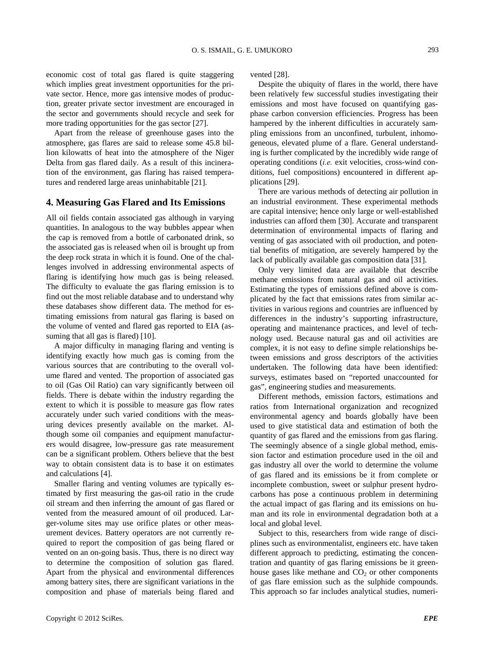economic cost of total gas flared is quite staggering which implies great investment opportunities for the private sector. Hence, more gas intensive modes of production, greater private sector investment are encouraged in the sector and governments should recycle and seek for more trading opportunities for the gas sector [27].

Apart from the release of greenhouse gases into the atmosphere, gas flares are said to release some 45.8 billion kilowatts of heat into the atmosphere of the Niger Delta from gas flared daily. As a result of this incineration of the environment, gas flaring has raised temperatures and rendered large areas uninhabitable [21].

### **4. Measuring Gas Flared and Its Emissions**

All oil fields contain associated gas although in varying quantities. In analogous to the way bubbles appear when the cap is removed from a bottle of carbonated drink, so the associated gas is released when oil is brought up from the deep rock strata in which it is found. One of the challenges involved in addressing environmental aspects of flaring is identifying how much gas is being released. The difficulty to evaluate the gas flaring emission is to find out the most reliable database and to understand why these databases show different data. The method for estimating emissions from natural gas flaring is based on the volume of vented and flared gas reported to EIA (assuming that all gas is flared) [10].

A major difficulty in managing flaring and venting is identifying exactly how much gas is coming from the various sources that are contributing to the overall volume flared and vented. The proportion of associated gas to oil (Gas Oil Ratio) can vary significantly between oil fields. There is debate within the industry regarding the extent to which it is possible to measure gas flow rates accurately under such varied conditions with the measuring devices presently available on the market. Although some oil companies and equipment manufacturers would disagree, low-pressure gas rate measurement can be a significant problem. Others believe that the best way to obtain consistent data is to base it on estimates and calculations [4].

Smaller flaring and venting volumes are typically estimated by first measuring the gas-oil ratio in the crude oil stream and then inferring the amount of gas flared or vented from the measured amount of oil produced. Larger-volume sites may use orifice plates or other measurement devices. Battery operators are not currently required to report the composition of gas being flared or vented on an on-going basis. Thus, there is no direct way to determine the composition of solution gas flared. Apart from the physical and environmental differences among battery sites, there are significant variations in the composition and phase of materials being flared and

vented [28].

Despite the ubiquity of flares in the world, there have been relatively few successful studies investigating their emissions and most have focused on quantifying gasphase carbon conversion efficiencies. Progress has been hampered by the inherent difficulties in accurately sampling emissions from an unconfined, turbulent, inhomogeneous, elevated plume of a flare. General understanding is further complicated by the incredibly wide range of operating conditions (*i.e.* exit velocities, cross-wind conditions, fuel compositions) encountered in different applications [29].

There are various methods of detecting air pollution in an industrial environment. These experimental methods are capital intensive; hence only large or well-established industries can afford them [30]. Accurate and transparent determination of environmental impacts of flaring and venting of gas associated with oil production, and potential benefits of mitigation, are severely hampered by the lack of publically available gas composition data [31].

Only very limited data are available that describe methane emissions from natural gas and oil activities. Estimating the types of emissions defined above is complicated by the fact that emissions rates from similar activities in various regions and countries are influenced by differences in the industry's supporting infrastructure, operating and maintenance practices, and level of technology used. Because natural gas and oil activities are complex, it is not easy to define simple relationships between emissions and gross descriptors of the activities undertaken. The following data have been identified: surveys, estimates based on "reported unaccounted for gas", engineering studies and measurements.

Different methods, emission factors, estimations and ratios from International organization and recognized environmental agency and boards globally have been used to give statistical data and estimation of both the quantity of gas flared and the emissions from gas flaring. The seemingly absence of a single global method, emission factor and estimation procedure used in the oil and gas industry all over the world to determine the volume of gas flared and its emissions be it from complete or incomplete combustion, sweet or sulphur present hydrocarbons has pose a continuous problem in determining the actual impact of gas flaring and its emissions on human and its role in environmental degradation both at a local and global level.

Subject to this, researchers from wide range of disciplines such as environmentalist, engineers etc. have taken different approach to predicting, estimating the concentration and quantity of gas flaring emissions be it greenhouse gases like methane and  $CO<sub>2</sub>$  or other components of gas flare emission such as the sulphide compounds. This approach so far includes analytical studies, numeri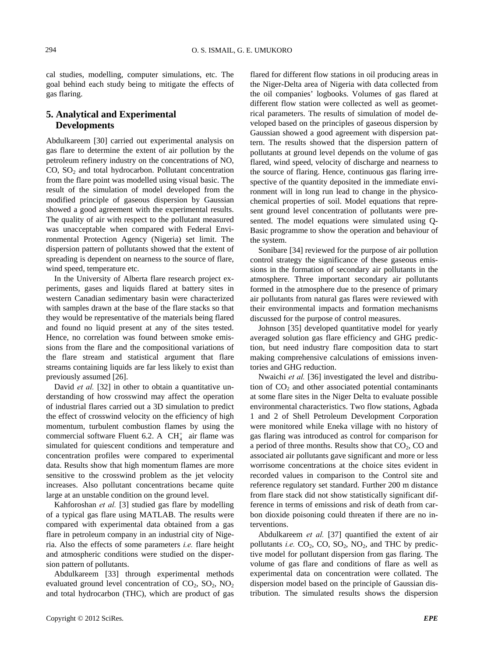cal studies, modelling, computer simulations, etc. The goal behind each study being to mitigate the effects of gas flaring.

# **5. Analytical and Experimental Developments**

Abdulkareem [30] carried out experimental analysis on gas flare to determine the extent of air pollution by the petroleum refinery industry on the concentrations of NO,  $CO$ ,  $SO<sub>2</sub>$  and total hydrocarbon. Pollutant concentration from the flare point was modelled using visual basic. The result of the simulation of model developed from the modified principle of gaseous dispersion by Gaussian showed a good agreement with the experimental results. The quality of air with respect to the pollutant measured was unacceptable when compared with Federal Environmental Protection Agency (Nigeria) set limit. The dispersion pattern of pollutants showed that the extent of spreading is dependent on nearness to the source of flare, wind speed, temperature etc.

In the University of Alberta flare research project experiments, gases and liquids flared at battery sites in western Canadian sedimentary basin were characterized with samples drawn at the base of the flare stacks so that they would be representative of the materials being flared and found no liquid present at any of the sites tested. Hence, no correlation was found between smoke emissions from the flare and the compositional variations of the flare stream and statistical argument that flare streams containing liquids are far less likely to exist than previously assumed [26].

David *et al.* [32] in other to obtain a quantitative understanding of how crosswind may affect the operation of industrial flares carried out a 3D simulation to predict the effect of crosswind velocity on the efficiency of high momentum, turbulent combustion flames by using the commercial software Fluent 6.2. A  $CH_4^+$  air flame was simulated for quiescent conditions and temperature and concentration profiles were compared to experimental data. Results show that high momentum flames are more sensitive to the crosswind problem as the jet velocity increases. Also pollutant concentrations became quite large at an unstable condition on the ground level.

Kahforoshan *et al.* [3] studied gas flare by modelling of a typical gas flare using MATLAB. The results were compared with experimental data obtained from a gas flare in petroleum company in an industrial city of Nigeria. Also the effects of some parameters *i.e.* flare height and atmospheric conditions were studied on the dispersion pattern of pollutants.

Abdulkareem [33] through experimental methods evaluated ground level concentration of  $CO<sub>2</sub>$ ,  $SO<sub>2</sub>$ ,  $NO<sub>2</sub>$ and total hydrocarbon (THC), which are product of gas flared for different flow stations in oil producing areas in the Niger-Delta area of Nigeria with data collected from the oil companies' logbooks. Volumes of gas flared at different flow station were collected as well as geometrical parameters. The results of simulation of model developed based on the principles of gaseous dispersion by Gaussian showed a good agreement with dispersion pattern. The results showed that the dispersion pattern of pollutants at ground level depends on the volume of gas flared, wind speed, velocity of discharge and nearness to the source of flaring. Hence, continuous gas flaring irrespective of the quantity deposited in the immediate environment will in long run lead to change in the physicochemical properties of soil. Model equations that represent ground level concentration of pollutants were presented. The model equations were simulated using Q-Basic programme to show the operation and behaviour of the system.

Sonibare [34] reviewed for the purpose of air pollution control strategy the significance of these gaseous emissions in the formation of secondary air pollutants in the atmosphere. Three important secondary air pollutants formed in the atmosphere due to the presence of primary air pollutants from natural gas flares were reviewed with their environmental impacts and formation mechanisms discussed for the purpose of control measures.

Johnson [35] developed quantitative model for yearly averaged solution gas flare efficiency and GHG prediction, but need industry flare composition data to start making comprehensive calculations of emissions inventories and GHG reduction.

Nwaichi *et al.* [36] investigated the level and distribution of  $CO<sub>2</sub>$  and other associated potential contaminants at some flare sites in the Niger Delta to evaluate possible environmental characteristics. Two flow stations, Agbada 1 and 2 of Shell Petroleum Development Corporation were monitored while Eneka village with no history of gas flaring was introduced as control for comparison for a period of three months. Results show that  $CO<sub>2</sub>$ , CO and associated air pollutants gave significant and more or less worrisome concentrations at the choice sites evident in recorded values in comparison to the Control site and reference regulatory set standard. Further 200 m distance from flare stack did not show statistically significant difference in terms of emissions and risk of death from carbon dioxide poisoning could threaten if there are no interventions.

Abdulkareem *et al.* [37] quantified the extent of air pollutants *i.e.*  $CO_2$ ,  $CO$ ,  $SO_2$ ,  $NO_2$ , and THC by predictive model for pollutant dispersion from gas flaring. The volume of gas flare and conditions of flare as well as experimental data on concentration were collated. The dispersion model based on the principle of Gaussian distribution. The simulated results shows the dispersion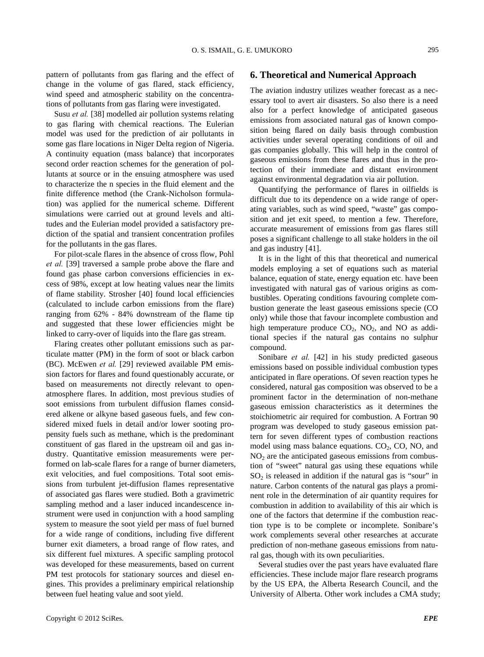pattern of pollutants from gas flaring and the effect of change in the volume of gas flared, stack efficiency, wind speed and atmospheric stability on the concentrations of pollutants from gas flaring were investigated.

Susu *et al.* [38] modelled air pollution systems relating to gas flaring with chemical reactions. The Eulerian model was used for the prediction of air pollutants in some gas flare locations in Niger Delta region of Nigeria. A continuity equation (mass balance) that incorporates second order reaction schemes for the generation of pollutants at source or in the ensuing atmosphere was used to characterize the n species in the fluid element and the finite difference method (the Crank-Nicholson formulation) was applied for the numerical scheme. Different simulations were carried out at ground levels and altitudes and the Eulerian model provided a satisfactory prediction of the spatial and transient concentration profiles for the pollutants in the gas flares.

For pilot-scale flares in the absence of cross flow, Pohl *et al.* [39] traversed a sample probe above the flare and found gas phase carbon conversions efficiencies in excess of 98%, except at low heating values near the limits of flame stability. Strosher [40] found local efficiencies (calculated to include carbon emissions from the flare) ranging from 62% - 84% downstream of the flame tip and suggested that these lower efficiencies might be linked to carry-over of liquids into the flare gas stream.

Flaring creates other pollutant emissions such as particulate matter (PM) in the form of soot or black carbon (BC). McEwen *et al.* [29] reviewed available PM emission factors for flares and found questionably accurate, or based on measurements not directly relevant to openatmosphere flares. In addition, most previous studies of soot emissions from turbulent diffusion flames considered alkene or alkyne based gaseous fuels, and few considered mixed fuels in detail and/or lower sooting propensity fuels such as methane, which is the predominant constituent of gas flared in the upstream oil and gas industry. Quantitative emission measurements were performed on lab-scale flares for a range of burner diameters, exit velocities, and fuel compositions. Total soot emissions from turbulent jet-diffusion flames representative of associated gas flares were studied. Both a gravimetric sampling method and a laser induced incandescence instrument were used in conjunction with a hood sampling system to measure the soot yield per mass of fuel burned for a wide range of conditions, including five different burner exit diameters, a broad range of flow rates, and six different fuel mixtures. A specific sampling protocol was developed for these measurements, based on current PM test protocols for stationary sources and diesel engines. This provides a preliminary empirical relationship between fuel heating value and soot yield.

## **6. Theoretical and Numerical Approach**

The aviation industry utilizes weather forecast as a necessary tool to avert air disasters. So also there is a need also for a perfect knowledge of anticipated gaseous emissions from associated natural gas of known composition being flared on daily basis through combustion activities under several operating conditions of oil and gas companies globally. This will help in the control of gaseous emissions from these flares and thus in the protection of their immediate and distant environment against environmental degradation via air pollution.

Quantifying the performance of flares in oilfields is difficult due to its dependence on a wide range of operating variables, such as wind speed, "waste" gas composition and jet exit speed, to mention a few. Therefore, accurate measurement of emissions from gas flares still poses a significant challenge to all stake holders in the oil and gas industry [41].

It is in the light of this that theoretical and numerical models employing a set of equations such as material balance, equation of state, energy equation etc. have been investigated with natural gas of various origins as combustibles. Operating conditions favouring complete combustion generate the least gaseous emissions specie (CO only) while those that favour incomplete combustion and high temperature produce  $CO<sub>2</sub>$ , NO<sub>2</sub>, and NO as additional species if the natural gas contains no sulphur compound.

Sonibare *et al.* [42] in his study predicted gaseous emissions based on possible individual combustion types anticipated in flare operations. Of seven reaction types he considered, natural gas composition was observed to be a prominent factor in the determination of non-methane gaseous emission characteristics as it determines the stoichiometric air required for combustion. A Fortran 90 program was developed to study gaseous emission pattern for seven different types of combustion reactions model using mass balance equations.  $CO<sub>2</sub>$ ,  $CO<sub>2</sub>$ , NO, and  $NO<sub>2</sub>$  are the anticipated gaseous emissions from combustion of "sweet" natural gas using these equations while  $SO<sub>2</sub>$  is released in addition if the natural gas is "sour" in nature. Carbon contents of the natural gas plays a prominent role in the determination of air quantity requires for combustion in addition to availability of this air which is one of the factors that determine if the combustion reaction type is to be complete or incomplete. Sonibare's work complements several other researches at accurate prediction of non-methane gaseous emissions from natural gas, though with its own peculiarities.

Several studies over the past years have evaluated flare efficiencies. These include major flare research programs by the US EPA, the Alberta Research Council, and the University of Alberta. Other work includes a CMA study;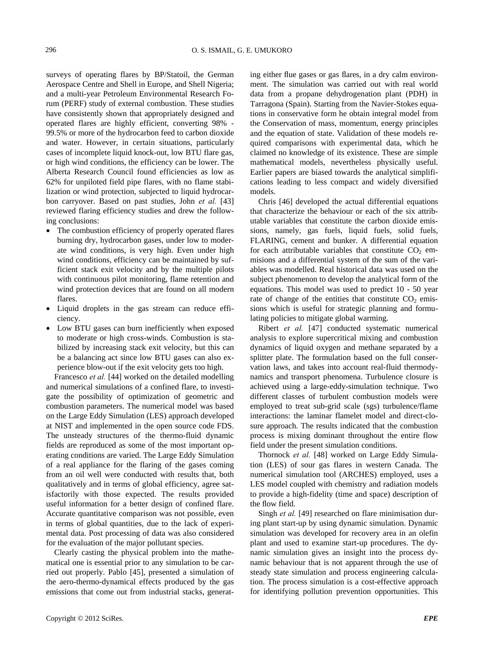surveys of operating flares by BP/Statoil, the German Aerospace Centre and Shell in Europe, and Shell Nigeria; and a multi-year Petroleum Environmental Research Forum (PERF) study of external combustion. These studies have consistently shown that appropriately designed and operated flares are highly efficient, converting 98% - 99.5% or more of the hydrocarbon feed to carbon dioxide and water. However, in certain situations, particularly cases of incomplete liquid knock-out, low BTU flare gas, or high wind conditions, the efficiency can be lower. The Alberta Research Council found efficiencies as low as 62% for unpiloted field pipe flares, with no flame stabilization or wind protection, subjected to liquid hydrocarbon carryover. Based on past studies, John *et al.* [43] reviewed flaring efficiency studies and drew the following conclusions:

- The combustion efficiency of properly operated flares burning dry, hydrocarbon gases, under low to moderate wind conditions, is very high. Even under high wind conditions, efficiency can be maintained by sufficient stack exit velocity and by the multiple pilots with continuous pilot monitoring, flame retention and wind protection devices that are found on all modern flares.
- Liquid droplets in the gas stream can reduce efficiency.
- Low BTU gases can burn inefficiently when exposed to moderate or high cross-winds. Combustion is stabilized by increasing stack exit velocity, but this can be a balancing act since low BTU gases can also experience blow-out if the exit velocity gets too high.

Francesco *et al.* [44] worked on the detailed modelling and numerical simulations of a confined flare, to investigate the possibility of optimization of geometric and combustion parameters. The numerical model was based on the Large Eddy Simulation (LES) approach developed at NIST and implemented in the open source code FDS. The unsteady structures of the thermo-fluid dynamic fields are reproduced as some of the most important operating conditions are varied. The Large Eddy Simulation of a real appliance for the flaring of the gases coming from an oil well were conducted with results that, both qualitatively and in terms of global efficiency, agree satisfactorily with those expected. The results provided useful information for a better design of confined flare. Accurate quantitative comparison was not possible, even in terms of global quantities, due to the lack of experimental data. Post processing of data was also considered for the evaluation of the major pollutant species.

Clearly casting the physical problem into the mathematical one is essential prior to any simulation to be carried out properly. Pablo [45], presented a simulation of the aero-thermo-dynamical effects produced by the gas emissions that come out from industrial stacks, generating either flue gases or gas flares, in a dry calm environment. The simulation was carried out with real world data from a propane dehydrogenation plant (PDH) in Tarragona (Spain). Starting from the Navier-Stokes equations in conservative form he obtain integral model from the Conservation of mass, momentum, energy principles and the equation of state. Validation of these models required comparisons with experimental data, which he claimed no knowledge of its existence. These are simple mathematical models, nevertheless physically useful. Earlier papers are biased towards the analytical simplifications leading to less compact and widely diversified models.

Chris [46] developed the actual differential equations that characterize the behaviour or each of the six attributable variables that constitute the carbon dioxide emissions, namely, gas fuels, liquid fuels, solid fuels, FLARING, cement and bunker. A differential equation for each attributable variables that constitute  $CO<sub>2</sub>$  emmisions and a differential system of the sum of the variables was modelled. Real historical data was used on the subject phenomenon to develop the analytical form of the equations. This model was used to predict 10 - 50 year rate of change of the entities that constitute  $CO<sub>2</sub>$  emissions which is useful for strategic planning and formulating policies to mitigate global warming.

Ribert *et al.* [47] conducted systematic numerical analysis to explore supercritical mixing and combustion dynamics of liquid oxygen and methane separated by a splitter plate. The formulation based on the full conservation laws, and takes into account real-fluid thermodynamics and transport phenomena. Turbulence closure is achieved using a large-eddy-simulation technique. Two different classes of turbulent combustion models were employed to treat sub-grid scale (sgs) turbulence/flame interactions: the laminar flamelet model and direct-closure approach. The results indicated that the combustion process is mixing dominant throughout the entire flow field under the present simulation conditions.

Thornock *et al.* [48] worked on Large Eddy Simulation (LES) of sour gas flares in western Canada. The numerical simulation tool (ARCHES) employed, uses a LES model coupled with chemistry and radiation models to provide a high-fidelity (time and space) description of the flow field.

Singh *et al.* [49] researched on flare minimisation during plant start-up by using dynamic simulation. Dynamic simulation was developed for recovery area in an olefin plant and used to examine start-up procedures. The dynamic simulation gives an insight into the process dynamic behaviour that is not apparent through the use of steady state simulation and process engineering calculation. The process simulation is a cost-effective approach for identifying pollution prevention opportunities. This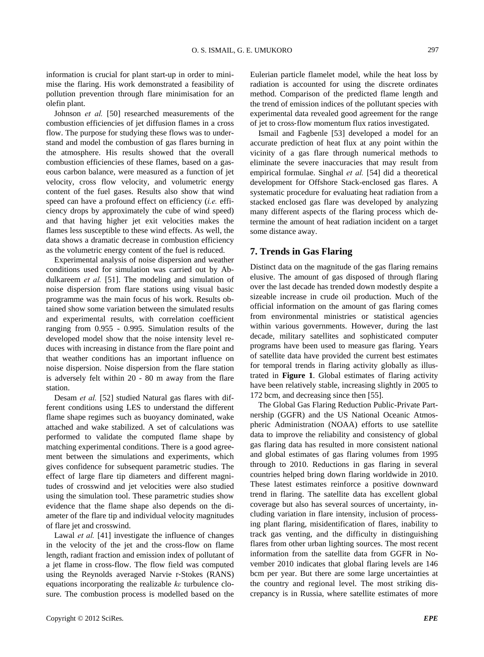information is crucial for plant start-up in order to minimise the flaring. His work demonstrated a feasibility of pollution prevention through flare minimisation for an olefin plant.

Johnson *et al.* [50] researched measurements of the combustion efficiencies of jet diffusion flames in a cross flow. The purpose for studying these flows was to understand and model the combustion of gas flares burning in the atmosphere. His results showed that the overall combustion efficiencies of these flames, based on a gaseous carbon balance, were measured as a function of jet velocity, cross flow velocity, and volumetric energy content of the fuel gases. Results also show that wind speed can have a profound effect on efficiency (*i.e.* efficiency drops by approximately the cube of wind speed) and that having higher jet exit velocities makes the flames less susceptible to these wind effects. As well, the data shows a dramatic decrease in combustion efficiency as the volumetric energy content of the fuel is reduced.

Experimental analysis of noise dispersion and weather conditions used for simulation was carried out by Abdulkareem *et al.* [51]. The modeling and simulation of noise dispersion from flare stations using visual basic programme was the main focus of his work. Results obtained show some variation between the simulated results and experimental results, with correlation coefficient ranging from 0.955 - 0.995. Simulation results of the developed model show that the noise intensity level reduces with increasing in distance from the flare point and that weather conditions has an important influence on noise dispersion. Noise dispersion from the flare station is adversely felt within 20 - 80 m away from the flare station.

Desam *et al.* [52] studied Natural gas flares with different conditions using LES to understand the different flame shape regimes such as buoyancy dominated, wake attached and wake stabilized. A set of calculations was performed to validate the computed flame shape by matching experimental conditions. There is a good agreement between the simulations and experiments, which gives confidence for subsequent parametric studies. The effect of large flare tip diameters and different magnitudes of crosswind and jet velocities were also studied using the simulation tool. These parametric studies show evidence that the flame shape also depends on the diameter of the flare tip and individual velocity magnitudes of flare jet and crosswind.

Lawal *et al.* [41] investigate the influence of changes in the velocity of the jet and the cross-flow on flame length, radiant fraction and emission index of pollutant of a jet flame in cross-flow. The flow field was computed using the Reynolds averaged Narvie r‐Stokes (RANS) equations incorporating the realizable *kε* turbulence closure. The combustion process is modelled based on the

Eulerian particle flamelet model, while the heat loss by radiation is accounted for using the discrete ordinates method. Comparison of the predicted flame length and the trend of emission indices of the pollutant species with experimental data revealed good agreement for the range of jet to cross‐flow momentum flux ratios investigated.

Ismail and Fagbenle [53] developed a model for an accurate prediction of heat flux at any point within the vicinity of a gas flare through numerical methods to eliminate the severe inaccuracies that may result from empirical formulae. Singhal *et al.* [54] did a theoretical development for Offshore Stack-enclosed gas flares. A systematic procedure for evaluating heat radiation from a stacked enclosed gas flare was developed by analyzing many different aspects of the flaring process which determine the amount of heat radiation incident on a target some distance away.

# **7. Trends in Gas Flaring**

Distinct data on the magnitude of the gas flaring remains elusive. The amount of gas disposed of through flaring over the last decade has trended down modestly despite a sizeable increase in crude oil production. Much of the official information on the amount of gas flaring comes from environmental ministries or statistical agencies within various governments. However, during the last decade, military satellites and sophisticated computer programs have been used to measure gas flaring. Years of satellite data have provided the current best estimates for temporal trends in flaring activity globally as illustrated in **Figure 1**. Global estimates of flaring activity have been relatively stable, increasing slightly in 2005 to 172 bcm, and decreasing since then [55].

The Global Gas Flaring Reduction Public-Private Partnership (GGFR) and the US National Oceanic Atmospheric Administration (NOAA) efforts to use satellite data to improve the reliability and consistency of global gas flaring data has resulted in more consistent national and global estimates of gas flaring volumes from 1995 through to 2010. Reductions in gas flaring in several countries helped bring down flaring worldwide in 2010. These latest estimates reinforce a positive downward trend in flaring. The satellite data has excellent global coverage but also has several sources of uncertainty, including variation in flare intensity, inclusion of processing plant flaring, misidentification of flares, inability to track gas venting, and the difficulty in distinguishing flares from other urban lighting sources. The most recent information from the satellite data from GGFR in November 2010 indicates that global flaring levels are 146 bcm per year. But there are some large uncertainties at the country and regional level. The most striking discrepancy is in Russia, where satellite estimates of more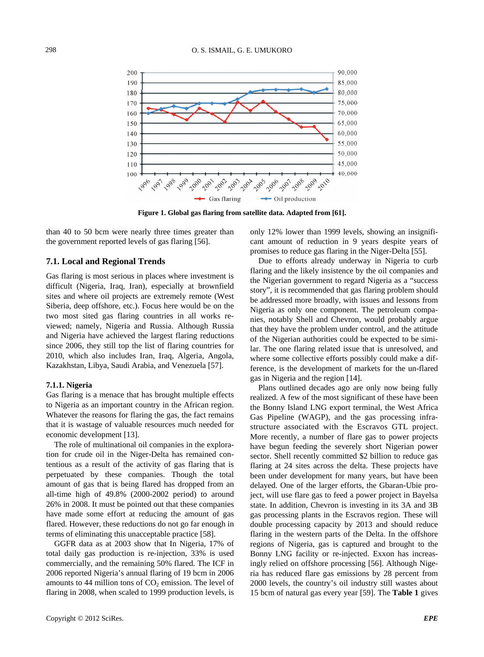

**Figure 1. Global gas flaring from satellite data. Adapted from [61].** 

than 40 to 50 bcm were nearly three times greater than the government reported levels of gas flaring [56].

## **7.1. Local and Regional Trends**

Gas flaring is most serious in places where investment is difficult (Nigeria, Iraq, Iran), especially at brownfield sites and where oil projects are extremely remote (West Siberia, deep offshore, etc.). Focus here would be on the two most sited gas flaring countries in all works reviewed; namely, Nigeria and Russia. Although Russia and Nigeria have achieved the largest flaring reductions since 2006, they still top the list of flaring countries for 2010, which also includes Iran, Iraq, Algeria, Angola, Kazakhstan, Libya, Saudi Arabia, and Venezuela [57].

#### **7.1.1. Nigeria**

Gas flaring is a menace that has brought multiple effects to Nigeria as an important country in the African region. Whatever the reasons for flaring the gas, the fact remains that it is wastage of valuable resources much needed for economic development [13].

The role of multinational oil companies in the exploration for crude oil in the Niger-Delta has remained contentious as a result of the activity of gas flaring that is perpetuated by these companies. Though the total amount of gas that is being flared has dropped from an all-time high of 49.8% (2000-2002 period) to around 26% in 2008. It must be pointed out that these companies have made some effort at reducing the amount of gas flared. However, these reductions do not go far enough in terms of eliminating this unacceptable practice [58].

GGFR data as at 2003 show that In Nigeria, 17% of total daily gas production is re-injection, 33% is used commercially, and the remaining 50% flared. The ICF in 2006 reported Nigeria's annual flaring of 19 bcm in 2006 amounts to 44 million tons of  $CO<sub>2</sub>$  emission. The level of flaring in 2008, when scaled to 1999 production levels, is

Copyright © 2012 SciRes. *EPE*

only 12% lower than 1999 levels, showing an insignificant amount of reduction in 9 years despite years of promises to reduce gas flaring in the Niger-Delta [55].

Due to efforts already underway in Nigeria to curb flaring and the likely insistence by the oil companies and the Nigerian government to regard Nigeria as a "success story", it is recommended that gas flaring problem should be addressed more broadly, with issues and lessons from Nigeria as only one component. The petroleum companies, notably Shell and Chevron, would probably argue that they have the problem under control, and the attitude of the Nigerian authorities could be expected to be similar. The one flaring related issue that is unresolved, and where some collective efforts possibly could make a difference, is the development of markets for the un-flared gas in Nigeria and the region [14].

Plans outlined decades ago are only now being fully realized. A few of the most significant of these have been the Bonny Island LNG export terminal, the West Africa Gas Pipeline (WAGP), and the gas processing infrastructure associated with the Escravos GTL project. More recently, a number of flare gas to power projects have begun feeding the severely short Nigerian power sector. Shell recently committed \$2 billion to reduce gas flaring at 24 sites across the delta. These projects have been under development for many years, but have been delayed. One of the larger efforts, the Gbaran-Ubie project, will use flare gas to feed a power project in Bayelsa state. In addition, Chevron is investing in its 3A and 3B gas processing plants in the Escravos region. These will double processing capacity by 2013 and should reduce flaring in the western parts of the Delta. In the offshore regions of Nigeria, gas is captured and brought to the Bonny LNG facility or re-injected. Exxon has increasingly relied on offshore processing [56]. Although Nigeria has reduced flare gas emissions by 28 percent from 2000 levels, the country's oil industry still wastes about 15 bcm of natural gas every year [59]. The **Table 1** gives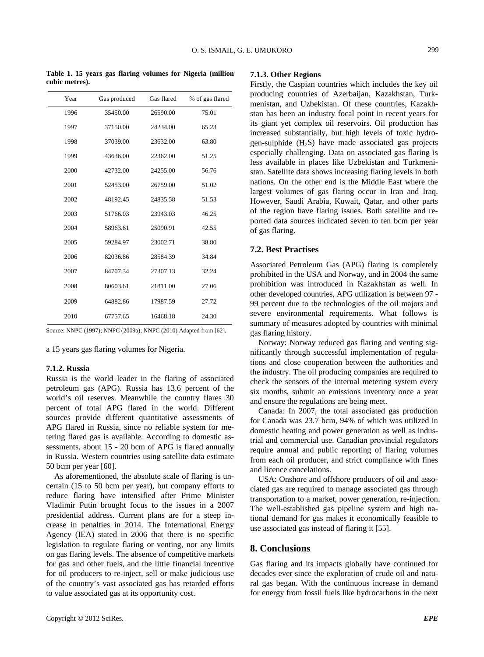**Table 1. 15 years gas flaring volumes for Nigeria (million cubic metres).** 

| Year | Gas produced | Gas flared | % of gas flared |
|------|--------------|------------|-----------------|
| 1996 | 35450.00     | 26590.00   | 75.01           |
| 1997 | 37150.00     | 24234.00   | 65.23           |
| 1998 | 37039.00     | 23632.00   | 63.80           |
| 1999 | 43636.00     | 22362.00   | 51.25           |
| 2000 | 42732.00     | 24255.00   | 56.76           |
| 2001 | 52453.00     | 26759.00   | 51.02           |
| 2002 | 48192.45     | 24835.58   | 51.53           |
| 2003 | 51766.03     | 23943.03   | 46.25           |
| 2004 | 58963.61     | 25090.91   | 42.55           |
| 2005 | 59284.97     | 23002.71   | 38.80           |
| 2006 | 82036.86     | 28584.39   | 34.84           |
| 2007 | 84707.34     | 27307.13   | 32.24           |
| 2008 | 80603.61     | 21811.00   | 27.06           |
| 2009 | 64882.86     | 17987.59   | 27.72           |
| 2010 | 67757.65     | 16468.18   | 24.30           |
|      |              |            |                 |

Source: NNPC (1997); NNPC (2009a); NNPC (2010) Adapted from [62].

a 15 years gas flaring volumes for Nigeria.

#### **7.1.2. Russia**

Russia is the world leader in the flaring of associated petroleum gas (APG). Russia has 13.6 percent of the world's oil reserves. Meanwhile the country flares 30 percent of total APG flared in the world. Different sources provide different quantitative assessments of APG flared in Russia, since no reliable system for metering flared gas is available. According to domestic assessments, about 15 - 20 bcm of APG is flared annually in Russia. Western countries using satellite data estimate 50 bcm per year [60].

As aforementioned, the absolute scale of flaring is uncertain (15 to 50 bcm per year), but company efforts to reduce flaring have intensified after Prime Minister Vladimir Putin brought focus to the issues in a 2007 presidential address. Current plans are for a steep increase in penalties in 2014. The International Energy Agency (IEA) stated in 2006 that there is no specific legislation to regulate flaring or venting, nor any limits on gas flaring levels. The absence of competitive markets for gas and other fuels, and the little financial incentive for oil producers to re-inject, sell or make judicious use of the country's vast associated gas has retarded efforts to value associated gas at its opportunity cost.

#### **7.1.3. Other Regions**

Firstly, the Caspian countries which includes the key oil producing countries of Azerbaijan, Kazakhstan, Turkmenistan, and Uzbekistan. Of these countries, Kazakhstan has been an industry focal point in recent years for its giant yet complex oil reservoirs. Oil production has increased substantially, but high levels of toxic hydrogen-sulphide  $(H_2S)$  have made associated gas projects especially challenging. Data on associated gas flaring is less available in places like Uzbekistan and Turkmenistan. Satellite data shows increasing flaring levels in both nations. On the other end is the Middle East where the largest volumes of gas flaring occur in Iran and Iraq. However, Saudi Arabia, Kuwait, Qatar, and other parts of the region have flaring issues. Both satellite and reported data sources indicated seven to ten bcm per year of gas flaring.

## **7.2. Best Practises**

Associated Petroleum Gas (APG) flaring is completely prohibited in the USA and Norway, and in 2004 the same prohibition was introduced in Kazakhstan as well. In other developed countries, APG utilization is between 97 - 99 percent due to the technologies of the oil majors and severe environmental requirements. What follows is summary of measures adopted by countries with minimal gas flaring history.

Norway: Norway reduced gas flaring and venting significantly through successful implementation of regulations and close cooperation between the authorities and the industry. The oil producing companies are required to check the sensors of the internal metering system every six months, submit an emissions inventory once a year and ensure the regulations are being meet.

Canada: In 2007, the total associated gas production for Canada was 23.7 bcm, 94% of which was utilized in domestic heating and power generation as well as industrial and commercial use. Canadian provincial regulators require annual and public reporting of flaring volumes from each oil producer, and strict compliance with fines and licence cancelations.

USA: Onshore and offshore producers of oil and associated gas are required to manage associated gas through transportation to a market, power generation, re-injection. The well-established gas pipeline system and high national demand for gas makes it economically feasible to use associated gas instead of flaring it [55].

# **8. Conclusions**

Gas flaring and its impacts globally have continued for decades ever since the exploration of crude oil and natural gas began. With the continuous increase in demand for energy from fossil fuels like hydrocarbons in the next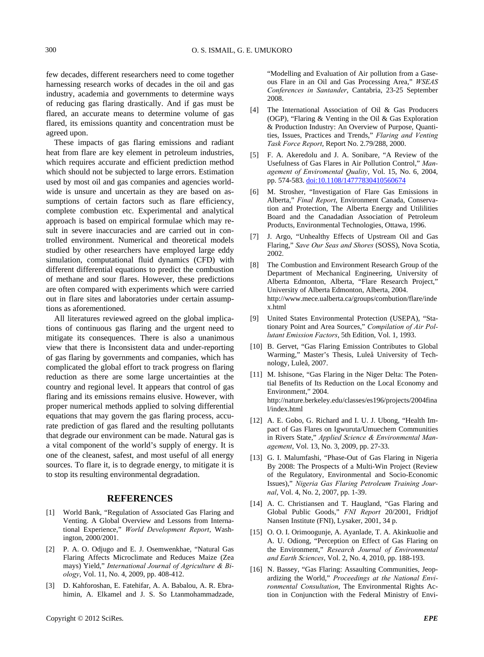few decades, different researchers need to come together harnessing research works of decades in the oil and gas industry, academia and governments to determine ways of reducing gas flaring drastically. And if gas must be flared, an accurate means to determine volume of gas flared, its emissions quantity and concentration must be agreed upon.

These impacts of gas flaring emissions and radiant heat from flare are key element in petroleum industries, which requires accurate and efficient prediction method which should not be subjected to large errors. Estimation used by most oil and gas companies and agencies worldwide is unsure and uncertain as they are based on assumptions of certain factors such as flare efficiency, complete combustion etc. Experimental and analytical approach is based on empirical formulae which may result in severe inaccuracies and are carried out in controlled environment. Numerical and theoretical models studied by other researchers have employed large eddy simulation, computational fluid dynamics (CFD) with different differential equations to predict the combustion of methane and sour flares. However, these predictions are often compared with experiments which were carried out in flare sites and laboratories under certain assumptions as aforementioned.

All literatures reviewed agreed on the global implications of continuous gas flaring and the urgent need to mitigate its consequences. There is also a unanimous view that there is Inconsistent data and under-reporting of gas flaring by governments and companies, which has complicated the global effort to track progress on flaring reduction as there are some large uncertainties at the country and regional level. It appears that control of gas flaring and its emissions remains elusive. However, with proper numerical methods applied to solving differential equations that may govern the gas flaring process, accurate prediction of gas flared and the resulting pollutants that degrade our environment can be made. Natural gas is a vital component of the world's supply of energy. It is one of the cleanest, safest, and most useful of all energy sources. To flare it, is to degrade energy, to mitigate it is to stop its resulting environmental degradation.

## **REFERENCES**

- [1] World Bank, "Regulation of Associated Gas Flaring and Venting. A Global Overview and Lessons from International Experience," *World Development Report*, Washington, 2000/2001.
- P. A. O. Odjugo and E. J. Osemwenkhae, "Natural Gas Flaring Affects Microclimate and Reduces Maize (Zea mays) Yield," *International Journal of Agriculture & Biology*, Vol. 11, No. 4, 2009, pp. 408-412.
- [3] D. Kahforoshan, E. Fatehifar, A. A. Babalou, A. R. Ebrahimin, A. Elkamel and J. S. So Ltanmohammadzade,

"Modelling and Evaluation of Air pollution from a Gaseous Flare in an Oil and Gas Processing Area," *WSEAS Conferences in Santander*, Cantabria, 23-25 September 2008.

- [4] The International Association of Oil & Gas Producers (OGP), "Flaring & Venting in the Oil & Gas Exploration & Production Industry: An Overview of Purpose, Quantities, Issues, Practices and Trends," *Flaring and Venting Task Force Report*, Report No. 2.79/288, 2000.
- [5] F. A. Akeredolu and J. A. Sonibare, "A Review of the Usefulness of Gas Flares in Air Pollution Control," *Management of Enviromental Quality*, Vol. 15, No. 6, 2004, pp. 574-583. [doi:10.1108/14777830410560674](http://dx.doi.org/10.1108/14777830410560674)
- [6] M. Strosher, "Investigation of Flare Gas Emissions in Alberta," *Final Report*, Environment Canada, Conservation and Protection, The Alberta Energy and Utililities Board and the Canadadian Association of Petroleum Products, Environmental Technologies, Ottawa, 1996.
- [7] J. Argo, "Unhealthy Effects of Upstream Oil and Gas Flaring," *Save Our Seas and Shores* (SOSS), Nova Scotia, 2002.
- [8] The Combustion and Environment Research Group of the Department of Mechanical Engineering, University of Alberta Edmonton, Alberta, "Flare Research Project," University of Alberta Edmonton, Alberta, 2004. http://www.mece.ualberta.ca/groups/combution/flare/inde x.html
- [9] United States Environmental Protection (USEPA), "Stationary Point and Area Sources," *Compilation of Air Pollutant Emission Factors*, 5th Edition, Vol. 1, 1993.
- [10] B. Gervet, "Gas Flaring Emission Contributes to Global Warming," Master's Thesis, Luleå University of Technology, Luleå, 2007.
- [11] M. Ishisone, "Gas Flaring in the Niger Delta: The Potential Benefits of Its Reduction on the Local Economy and Environment," 2004. http://nature.berkeley.edu/classes/es196/projects/2004fina l/index.html
- [12] A. E. Gobo, G. Richard and I. U. J. Ubong, "Health Impact of Gas Flares on Igwuruta/Umuechem Communities in Rivers State," *Applied Science & Environmental Management*, Vol. 13, No. 3, 2009, pp. 27-33.
- [13] G. I. Malumfashi, "Phase-Out of Gas Flaring in Nigeria By 2008: The Prospects of a Multi-Win Project (Review of the Regulatory, Environmental and Socio-Economic Issues)," *Nigeria Gas Flaring Petroleum Training Journal*, Vol. 4, No. 2, 2007, pp. 1-39.
- [14] A. C. Christiansen and T. Haugland, "Gas Flaring and Global Public Goods," *FNI Report* 20/2001, Fridtjof Nansen Institute (FNI), Lysaker, 2001, 34 p.
- [15] O. O. I. Orimoogunje, A. Ayanlade, T. A. Akinkuolie and A. U. Odiong, "Perception on Effect of Gas Flaring on the Environment," *Research Journal of Environmental and Earth Sciences*, Vol. 2, No. 4, 2010, pp. 188-193.
- [16] N. Bassey, "Gas Flaring: Assaulting Communities, Jeopardizing the World," *Proceedings at the National Environmental Consultation*, The Environmental Rights Action in Conjunction with the Federal Ministry of Envi-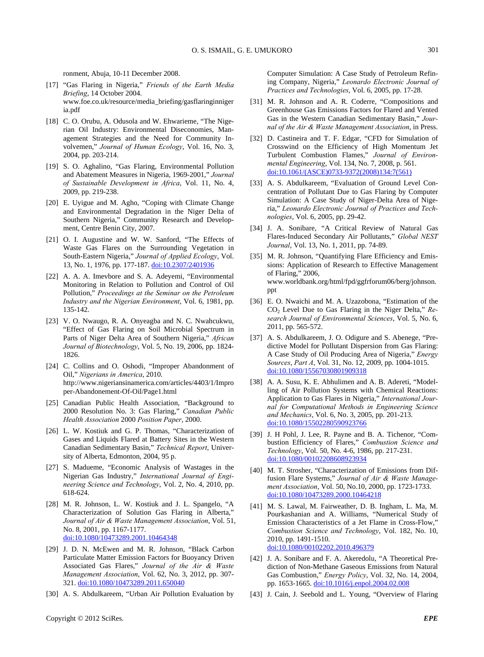ronment, Abuja, 10-11 December 2008.

- [17] "Gas Flaring in Nigeria," *Friends of the Earth Media Briefing*, 14 October 2004. www.foe.co.uk/resource/media\_briefing/gasflaringinniger ia.pdf
- [18] C. O. Orubu, A. Odusola and W. Ehwarieme, "The Nigerian Oil Industry: Environmental Diseconomies, Management Strategies and the Need for Community Involvemen," *Journal of Human Ecology*, Vol. 16, No. 3, 2004, pp. 203-214.
- [19] S. O. Aghalino, "Gas Flaring, Environmental Pollution and Abatement Measures in Nigeria, 1969-2001," *Journal of Sustainable Development in Africa*, Vol. 11, No. 4, 2009, pp. 219-238.
- [20] E. Uyigue and M. Agho, "Coping with Climate Change and Environmental Degradation in the Niger Delta of Southern Nigeria," Community Research and Development, Centre Benin City, 2007.
- [21] O. I. Augustine and W. W. Sanford, "The Effects of Waste Gas Flares on the Surrounding Vegetation in South-Eastern Nigeria," *Journal of Applied Ecology*, Vol. 13, No. 1, 1976, pp. 177-187. [doi:10.2307/2401936](http://dx.doi.org/10.2307/2401936)
- [22] A. A. A. Imevbore and S. A. Adeyemi, "Environmental Monitoring in Relation to Pollution and Control of Oil Pollution," *Proceedings at the Seminar on the Petroleum Industry and the Nigerian Environment*, Vol. 6, 1981, pp. 135-142.
- [23] V. O. Nwaugo, R. A. Onyeagba and N. C. Nwahcukwu, "Effect of Gas Flaring on Soil Microbial Spectrum in Parts of Niger Delta Area of Southern Nigeria," *African Journal of Biotechnology*, Vol. 5, No. 19, 2006, pp. 1824- 1826.
- [24] C. Collins and O. Oshodi, "Improper Abandonment of Oil," *Nigerians in America*, 2010. http://www.nigeriansinamerica.com/articles/4403/1/Impro per-Abandonement-Of-Oil/Page1.html
- [25] Canadian Public Health Association, "Background to 2000 Resolution No. 3: Gas Flaring," *Canadian Public Health Association* 2000 *Position Paper*, 2000.
- [26] L. W. Kostiuk and G. P. Thomas, "Characterization of Gases and Liquids Flared at Battery Sites in the Western Canadian Sedimentary Basin," *Technical Report*, University of Alberta, Edmonton, 2004, 95 p.
- [27] S. Madueme, "Economic Analysis of Wastages in the Nigerian Gas Industry," *International Journal of Engineering Science and Technology*, Vol. 2, No. 4, 2010, pp. 618-624.
- [28] M. R. Johnson, L. W. Kostiuk and J. L. Spangelo, "A Characterization of Solution Gas Flaring in Alberta," *Journal of Air & Waste Management Association*, Vol. 51, No. 8, 2001, pp. 1167-1177. [doi:10.1080/10473289.2001.10464348](http://dx.doi.org/10.1080/10473289.2001.10464348)
- [29] J. D. N. McEwen and M. R. Johnson, "Black Carbon Particulate Matter Emission Factors for Buoyancy Driven Associated Gas Flares," *Journal of the Air & Waste Management Association*, Vol. 62, No. 3, 2012, pp. 307- 321. [doi:10.1080/10473289.2011.650040](http://dx.doi.org/10.1080/10473289.2011.650040)
- [30] A. S. Abdulkareem, "Urban Air Pollution Evaluation by

Computer Simulation: A Case Study of Petroleum Refining Company, Nigeria," *Leonardo Electronic Journal of Practices and Technologies*, Vol. 6, 2005, pp. 17-28.

- [31] M. R. Johnson and A. R. Coderre, "Compositions and Greenhouse Gas Emissions Factors for Flared and Vented Gas in the Western Canadian Sedimentary Basin," *Journal of the Air & Waste Management Association*, in Press.
- [32] D. Castineira and T. F. Edgar, "CFD for Simulation of Crosswind on the Efficiency of High Momentum Jet Turbulent Combustion Flames," *Journal of Environmental Engineering*, Vol. 134, No. 7, 2008, p. 561. [doi:10.1061/\(ASCE\)0733-9372\(2008\)134:7\(561\)](http://dx.doi.org/10.1061/(ASCE)0733-9372(2008)134:7(561))
- [33] A. S. Abdulkareem, "Evaluation of Ground Level Concentration of Pollutant Due to Gas Flaring by Computer Simulation: A Case Study of Niger-Delta Area of Nigeria," *Leonardo Electronic Journal of Practices and Technologies*, Vol. 6, 2005, pp. 29-42.
- [34] J. A. Sonibare, "A Critical Review of Natural Gas Flares-Induced Secondary Air Pollutants," *Global NEST Journal*, Vol. 13, No. 1, 2011, pp. 74-89.
- [35] M. R. Johnson, "Quantifying Flare Efficiency and Emissions: Application of Research to Effective Management of Flaring," 2006, www.worldbank.org/html/fpd/ggfrforum06/berg/johnson. ppt
- [36] E. O. Nwaichi and M. A. Uzazobona, "Estimation of the CO2 Level Due to Gas Flaring in the Niger Delta," *Research Journal of Environmental Sciences*, Vol. 5, No. 6, 2011, pp. 565-572.
- [37] A. S. Abdulkareem, J. O. Odigure and S. Abenege, "Predictive Model for Pollutant Dispersion from Gas Flaring: A Case Study of Oil Producing Area of Nigeria," *Energy Sources*, *Part A*, Vol. 31, No. 12, 2009, pp. 1004-1015. [doi:10.1080/15567030801909318](http://dx.doi.org/10.1080/15567030801909318)
- [38] A. A. Susu, K. E. Abhulimen and A. B. Adereti, "Modelling of Air Pollution Systems with Chemical Reactions: Application to Gas Flares in Nigeria," *International Journal for Computational Methods in Engineering Science and Mechanics*, Vol. 6, No. 3, 2005, pp. 201-213. [doi:10.1080/15502280590923766](http://dx.doi.org/10.1080/15502280590923766)
- [39] J. H Pohl, J. Lee, R. Payne and B. A. Tichenor, "Combustion Efficiency of Flares," *Combustion Science and Technology*, Vol. 50, No. 4-6, 1986, pp. 217-231. [doi:10.1080/00102208608923934](http://dx.doi.org/10.1080/00102208608923934)
- [40] M. T. Strosher, "Characterization of Emissions from Diffusion Flare Systems," *Journal of Air & Waste Management Association*, Vol. 50, No.10, 2000, pp. 1723-1733. [doi:10.1080/10473289.2000.10464218](http://dx.doi.org/10.1080/10473289.2000.10464218)
- [41] M. S. Lawal, M. Fairweather, D. B. Ingham, L. Ma, M. Pourkashanian and A. Williams, "Numerical Study of Emission Characteristics of a Jet Flame in Cross-Flow," *Combustion Science and Technology*, Vol. 182, No. 10, 2010, pp. 1491-1510. [doi:10.1080/00102202.2010.496379](http://dx.doi.org/10.1080/00102202.2010.496379)
- [42] J. A. Sonibare and F. A. Akeredolu, "A Theoretical Prediction of Non-Methane Gaseous Emissions from Natural Gas Combustion," *Energy Policy*, Vol. 32, No. 14, 2004, pp. 1653-1665. [doi:10.1016/j.enpol.2004.02.008](http://dx.doi.org/10.1016/j.enpol.2004.02.008)
- [43] J. Cain, J. Seebold and L. Young, "Overview of Flaring